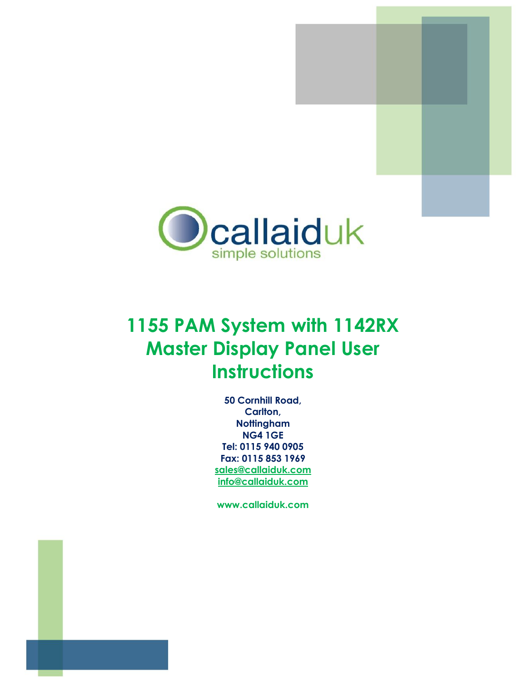



# **1155 PAM System with 1142RX Master Display Panel User Instructions**

**50 Cornhill Road, Carlton, Nottingham NG4 1GE Tel: 0115 940 0905 Fax: 0115 853 1969 [sales@callaiduk.com](mailto:sales@callaiduk.com) [info@callaiduk.com](mailto:info@callaiduk.com)** 

**[www.callaiduk.com](http://www.callaiduk.com/)**

**50 Cornhill Road, Carlton, Nottingham, NG4 1GE**

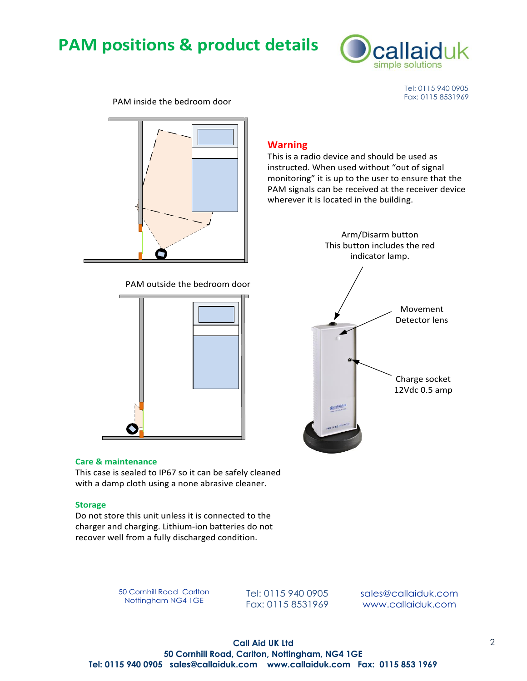## **PAM positions & product details**



Tel: 0115 940 0905<br>Fax: 0115 8531969

PAM inside the bedroom door





#### **Care & maintenance**

This case is sealed to IP67 so it can be safely cleaned with a damp cloth using a none abrasive cleaner.

#### **Storage**

Do not store this unit unless it is connected to the charger and charging. Lithium-ion batteries do not recover well from a fully discharged condition.

50 Cornhill Road Carlton

0 Cornhill Road Carlton Tel: 0115 940 0905 sales@callaiduk.com<br>Nottingham NG4 1GE Fax: 0115 8531969 www.callaiduk.com

Arm/Disarm button<br>
This button includes the red<br>
indicator lamp.<br>
PAM outside the bedroom door

**Warning**



This is a radio device and should be used as instructed. When used without "out of signal monitoring" it is up to the user to ensure that the PAM signals can be received at the receiver device

wherever it is located in the building.

**Call Aid UK Ltd 50 Cornhill Road, Carlton, Nottingham, NG4 1GE Tel: 0115 940 0905 sales@callaiduk.com www.callaiduk.com Fax: 0115 853 1969**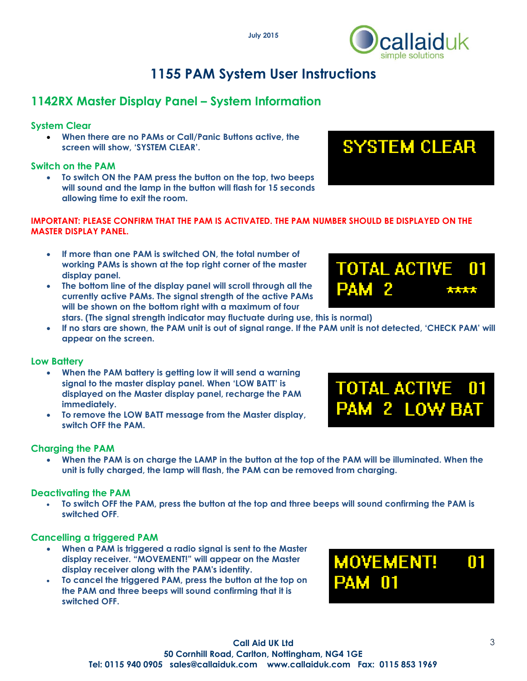

## **1155 PAM System User Instructions**

## **1142RX Master Display Panel – System Information**

### **System Clear**

 **When there are no PAMs or Call/Panic Buttons active, the screen will show, 'SYSTEM CLEAR'.**

#### **Switch on the PAM**

 **To switch ON the PAM press the button on the top, two beeps will sound and the lamp in the button will flash for 15 seconds allowing time to exit the room.**



**TOTAL ACTIVE** 

PAM 2

01

\*\*\*\*

#### **IMPORTANT: PLEASE CONFIRM THAT THE PAM IS ACTIVATED. THE PAM NUMBER SHOULD BE DISPLAYED ON THE MASTER DISPLAY PANEL.**

- **If more than one PAM is switched ON, the total number of working PAMs is shown at the top right corner of the master display panel.**
- **The bottom line of the display panel will scroll through all the currently active PAMs. The signal strength of the active PAMs will be shown on the bottom right with a maximum of four stars. (The signal strength indicator may fluctuate during use, this is normal)**
- **If no stars are shown, the PAM unit is out of signal range. If the PAM unit is not detected, 'CHECK PAM' will appear on the screen.**

#### **Low Battery**

- **When the PAM battery is getting low it will send a warning signal to the master display panel. When 'LOW BATT' is displayed on the Master display panel, recharge the PAM immediately.**
- **To remove the LOW BATT message from the Master display, switch OFF the PAM.**

#### **Charging the PAM**

 **When the PAM is on charge the LAMP in the button at the top of the PAM will be illuminated. When the unit is fully charged, the lamp will flash, the PAM can be removed from charging.** 

#### **Deactivating the PAM**

 **To switch OFF the PAM, press the button at the top and three beeps will sound confirming the PAM is switched OFF.** 

#### **Cancelling a triggered PAM**

- **When a PAM is triggered a radio signal is sent to the Master display receiver. "MOVEMENT!" will appear on the Master display receiver along with the PAM's identity.**
- **To cancel the triggered PAM, press the button at the top on the PAM and three beeps will sound confirming that it is switched OFF.**

# **MOVEMENT!**  $\blacksquare$

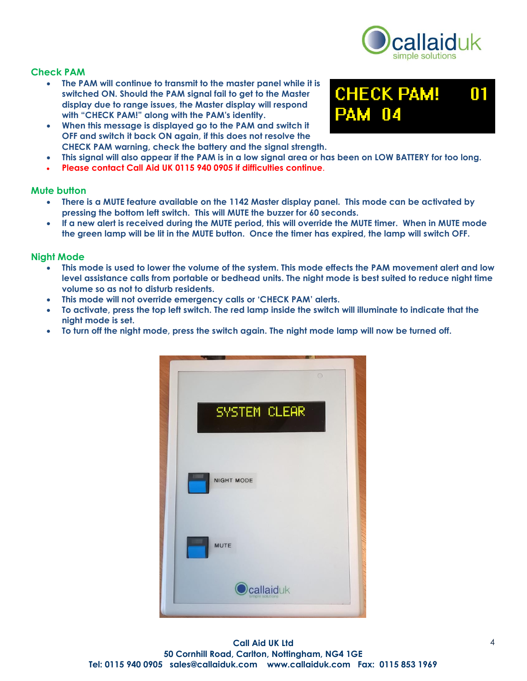

m

**CHECK PAM!** 

Π4

#### **Check PAM**

- **The PAM will continue to transmit to the master panel while it is switched ON. Should the PAM signal fail to get to the Master display due to range issues, the Master display will respond with "CHECK PAM!" along with the PAM's identity.**
- **When this message is displayed go to the PAM and switch it OFF and switch it back ON again, if this does not resolve the CHECK PAM warning, check the battery and the signal strength.**
- **This signal will also appear if the PAM is in a low signal area or has been on LOW BATTERY for too long.**
- **Please contact Call Aid UK 0115 940 0905 if difficulties continue.**

#### **Mute button**

- **There is a MUTE feature available on the 1142 Master display panel. This mode can be activated by pressing the bottom left switch. This will MUTE the buzzer for 60 seconds.**
- **If a new alert is received during the MUTE period, this will override the MUTE timer. When in MUTE mode the green lamp will be lit in the MUTE button. Once the timer has expired, the lamp will switch OFF.**

#### **Night Mode**

- **This mode is used to lower the volume of the system. This mode effects the PAM movement alert and low level assistance calls from portable or bedhead units. The night mode is best suited to reduce night time volume so as not to disturb residents.**
- **This mode will not override emergency calls or 'CHECK PAM' alerts.**
- **To activate, press the top left switch. The red lamp inside the switch will illuminate to indicate that the night mode is set.**
- **To turn off the night mode, press the switch again. The night mode lamp will now be turned off.**



**Call Aid UK Ltd 50 Cornhill Road, Carlton, Nottingham, NG4 1GE Tel: 0115 940 0905 sales@callaiduk.com www.callaiduk.com Fax: 0115 853 1969**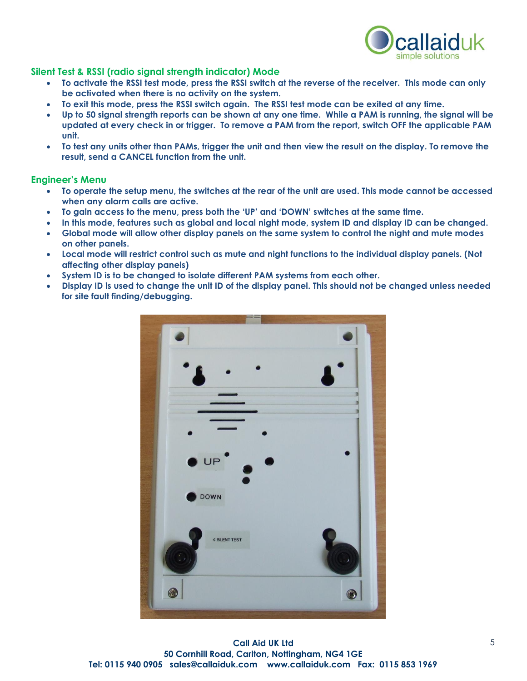

#### **Silent Test & RSSI (radio signal strength indicator) Mode**

- **To activate the RSSI test mode, press the RSSI switch at the reverse of the receiver. This mode can only be activated when there is no activity on the system.**
- **To exit this mode, press the RSSI switch again. The RSSI test mode can be exited at any time.**
- **Up to 50 signal strength reports can be shown at any one time. While a PAM is running, the signal will be updated at every check in or trigger. To remove a PAM from the report, switch OFF the applicable PAM unit.**
- **To test any units other than PAMs, trigger the unit and then view the result on the display. To remove the result, send a CANCEL function from the unit.**

#### **Engineer's Menu**

- **To operate the setup menu, the switches at the rear of the unit are used. This mode cannot be accessed when any alarm calls are active.**
- **To gain access to the menu, press both the 'UP' and 'DOWN' switches at the same time.**
- **In this mode, features such as global and local night mode, system ID and display ID can be changed.**
- **Global mode will allow other display panels on the same system to control the night and mute modes on other panels.**
- **Local mode will restrict control such as mute and night functions to the individual display panels. (Not affecting other display panels)**
- **System ID is to be changed to isolate different PAM systems from each other.**
- **Display ID is used to change the unit ID of the display panel. This should not be changed unless needed for site fault finding/debugging.**



**Call Aid UK Ltd 50 Cornhill Road, Carlton, Nottingham, NG4 1GE Tel: 0115 940 0905 sales@callaiduk.com www.callaiduk.com Fax: 0115 853 1969**